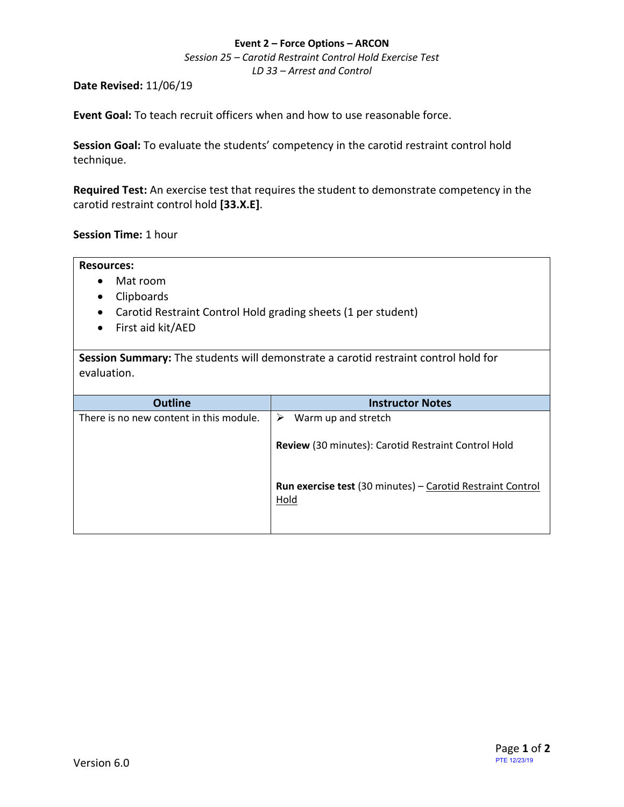#### **Event 2 – Force Options – ARCON**

*Session 25 – Carotid Restraint Control Hold Exercise Test LD 33 – Arrest and Control*

#### **Date Revised:** 11/06/19

**Event Goal:** To teach recruit officers when and how to use reasonable force.

**Session Goal:** To evaluate the students' competency in the carotid restraint control hold technique.

<span id="page-0-0"></span>**Required Test:** [An exercise test that requires the student to demonstrate competency in the](#page-1-0)  [carotid restraint control hold](#page-1-0) **[33.X.E]**.

**Session Time:** 1 hour

| <b>Resources:</b><br>Mat room<br>Clipboards<br>٠<br>Carotid Restraint Control Hold grading sheets (1 per student)<br>$\bullet$<br>First aid kit/AED<br>$\bullet$ |                                                     |
|------------------------------------------------------------------------------------------------------------------------------------------------------------------|-----------------------------------------------------|
| Session Summary: The students will demonstrate a carotid restraint control hold for<br>evaluation.                                                               |                                                     |
|                                                                                                                                                                  |                                                     |
| <b>Outline</b>                                                                                                                                                   | <b>Instructor Notes</b>                             |
| There is no new content in this module.                                                                                                                          | ➤<br>Warm up and stretch                            |
|                                                                                                                                                                  | Review (30 minutes): Carotid Restraint Control Hold |